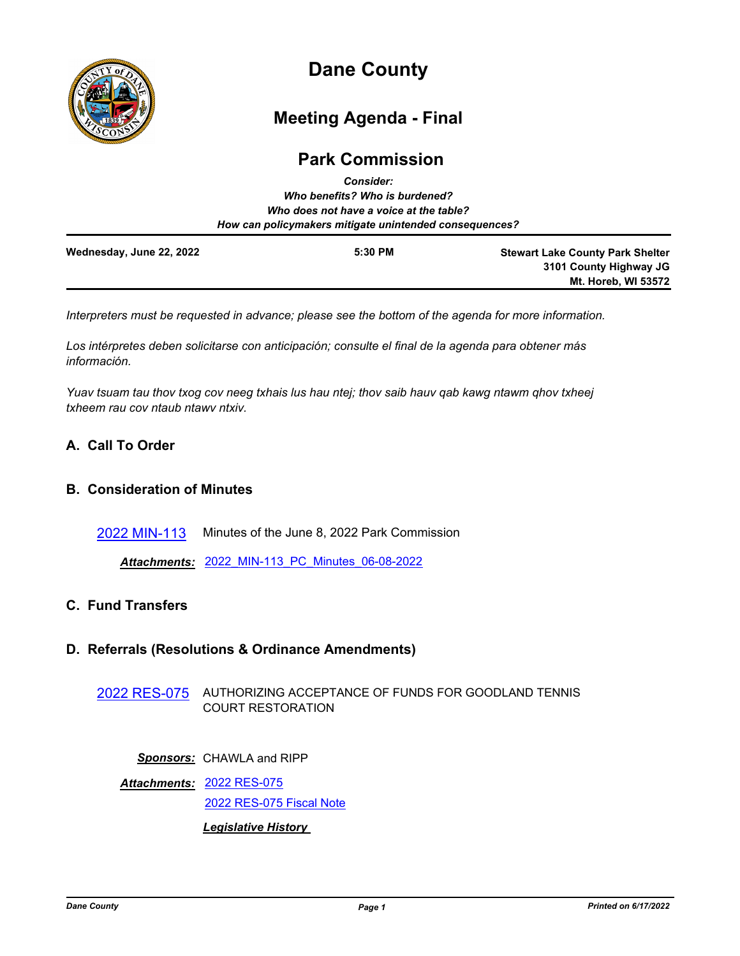

# **Dane County**

# **Meeting Agenda - Final**

## **Park Commission**

|                          | <b>Consider:</b>                                       |                                         |
|--------------------------|--------------------------------------------------------|-----------------------------------------|
|                          | Who benefits? Who is burdened?                         |                                         |
|                          | Who does not have a voice at the table?                |                                         |
|                          | How can policymakers mitigate unintended consequences? |                                         |
| Wednesday, June 22, 2022 | 5:30 PM                                                | <b>Stewart Lake County Park Shelter</b> |
|                          |                                                        | 3101 County Highway JG                  |
|                          |                                                        | <b>Mt. Horeb, WI 53572</b>              |

*Interpreters must be requested in advance; please see the bottom of the agenda for more information.*

*Los intérpretes deben solicitarse con anticipación; consulte el final de la agenda para obtener más información.*

*Yuav tsuam tau thov txog cov neeg txhais lus hau ntej; thov saib hauv qab kawg ntawm qhov txheej txheem rau cov ntaub ntawv ntxiv.*

### **A. Call To Order**

### **B. Consideration of Minutes**

[2022 MIN-113](http://dane.legistar.com/gateway.aspx?m=l&id=/matter.aspx?key=23074) Minutes of the June 8, 2022 Park Commission

*Attachments:* [2022\\_MIN-113\\_PC\\_Minutes\\_06-08-2022](http://dane.legistar.com/gateway.aspx?M=F&ID=45f05dc7-e5b3-4f15-9585-241c5a5ab407.pdf)

### **C. Fund Transfers**

### **D. Referrals (Resolutions & Ordinance Amendments)**

[2022 RES-075](http://dane.legistar.com/gateway.aspx?m=l&id=/matter.aspx?key=23066) AUTHORIZING ACCEPTANCE OF FUNDS FOR GOODLAND TENNIS COURT RESTORATION

*Sponsors:* CHAWLA and RIPP

[2022 RES-075](http://dane.legistar.com/gateway.aspx?M=F&ID=65a191fd-7654-4a84-9c1a-45b4470f42b2.pdf) *Attachments:* [2022 RES-075 Fiscal Note](http://dane.legistar.com/gateway.aspx?M=F&ID=58ebd6d7-894b-4a34-83f6-4dcd92775bd0.pdf) *Legislative History*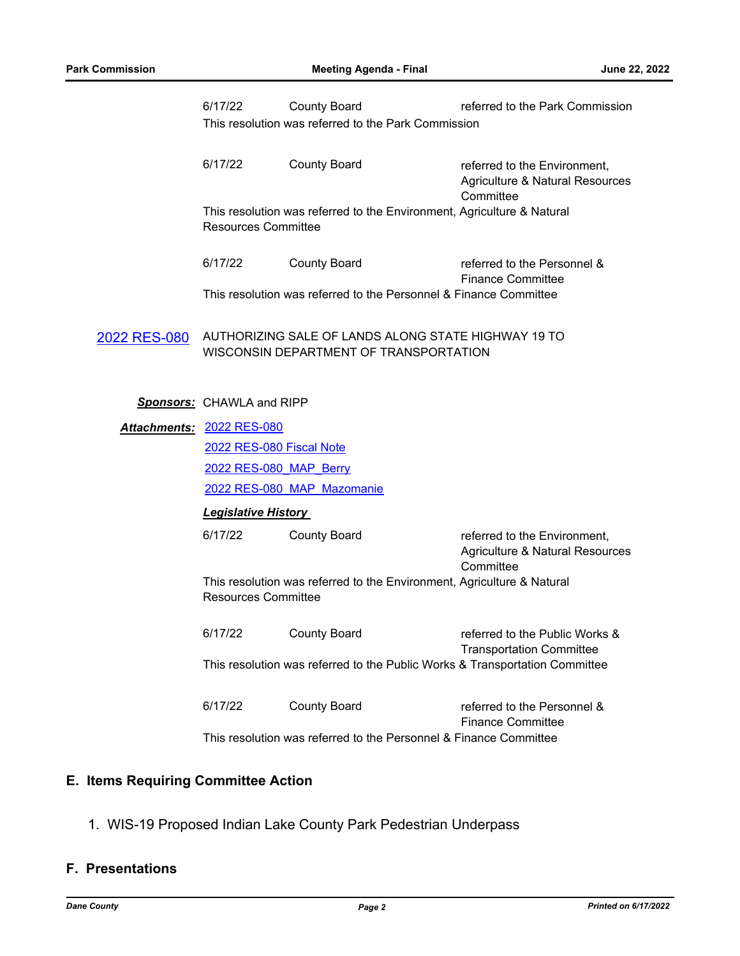|              | 6/17/22                                                                                              | <b>County Board</b>                                               | referred to the Park Commission                                              |  |  |
|--------------|------------------------------------------------------------------------------------------------------|-------------------------------------------------------------------|------------------------------------------------------------------------------|--|--|
|              | This resolution was referred to the Park Commission                                                  |                                                                   |                                                                              |  |  |
|              | 6/17/22                                                                                              | <b>County Board</b>                                               | referred to the Environment,<br>Agriculture & Natural Resources<br>Committee |  |  |
|              | This resolution was referred to the Environment, Agriculture & Natural<br><b>Resources Committee</b> |                                                                   |                                                                              |  |  |
|              | 6/17/22                                                                                              | <b>County Board</b>                                               | referred to the Personnel &<br><b>Finance Committee</b>                      |  |  |
|              |                                                                                                      | This resolution was referred to the Personnel & Finance Committee |                                                                              |  |  |
| 2022 RES-080 | AUTHORIZING SALE OF LANDS ALONG STATE HIGHWAY 19 TO<br>WISCONSIN DEPARTMENT OF TRANSPORTATION        |                                                                   |                                                                              |  |  |
|              | <b>Sponsors: CHAWLA and RIPP</b>                                                                     |                                                                   |                                                                              |  |  |
|              | Attachments: 2022 RES-080                                                                            |                                                                   |                                                                              |  |  |
|              | 2022 RES-080 Fiscal Note                                                                             |                                                                   |                                                                              |  |  |
|              | 2022 RES-080 MAP Berry                                                                               |                                                                   |                                                                              |  |  |
|              | 2022 RES-080 MAP Mazomanie                                                                           |                                                                   |                                                                              |  |  |
|              | <b>Legislative History</b>                                                                           |                                                                   |                                                                              |  |  |
|              | 6/17/22                                                                                              | <b>County Board</b>                                               | referred to the Environment,<br>Agriculture & Natural Resources<br>Committee |  |  |
|              | This resolution was referred to the Environment, Agriculture & Natural<br><b>Resources Committee</b> |                                                                   |                                                                              |  |  |
|              | 6/17/22                                                                                              | <b>County Board</b>                                               | referred to the Public Works &<br><b>Transportation Committee</b>            |  |  |
|              | This resolution was referred to the Public Works & Transportation Committee                          |                                                                   |                                                                              |  |  |
|              | 6/17/22                                                                                              | <b>County Board</b>                                               | referred to the Personnel &<br><b>Finance Committee</b>                      |  |  |
|              |                                                                                                      | This resolution was referred to the Personnel & Finance Committee |                                                                              |  |  |

### **E. Items Requiring Committee Action**

1. WIS-19 Proposed Indian Lake County Park Pedestrian Underpass

### **F. Presentations**